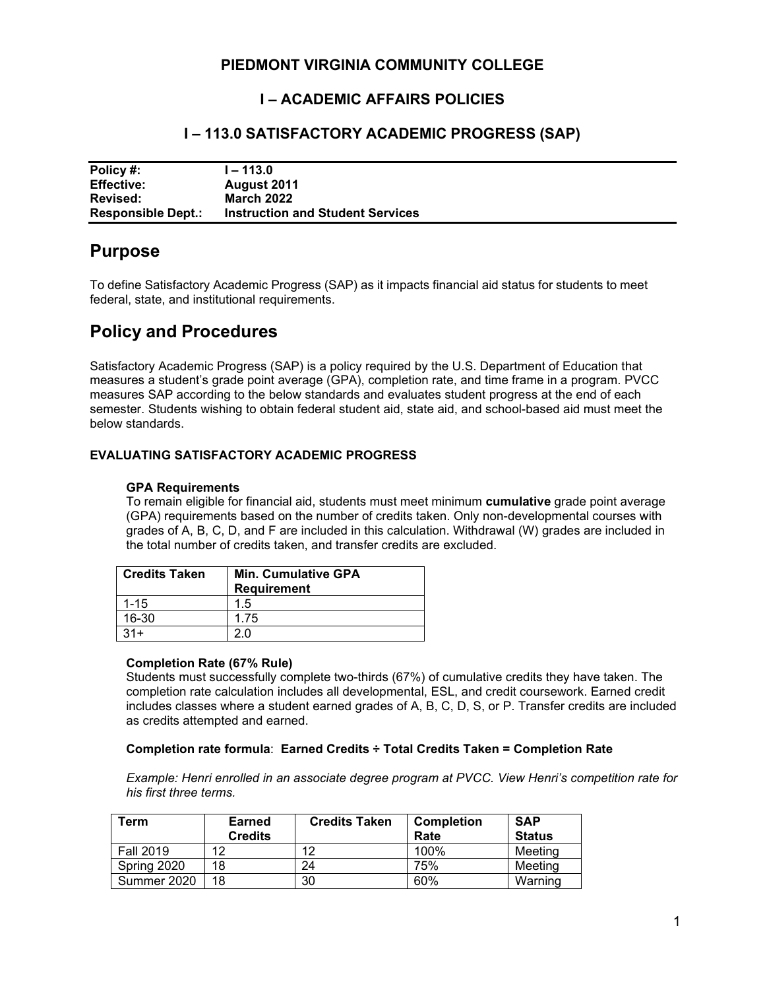## **PIEDMONT VIRGINIA COMMUNITY COLLEGE**

## **I – ACADEMIC AFFAIRS POLICIES**

## **I – 113.0 SATISFACTORY ACADEMIC PROGRESS (SAP)**

| Policy#:                  | l – 113.0                               |
|---------------------------|-----------------------------------------|
| <b>Effective:</b>         | August 2011                             |
| Revised:                  | <b>March 2022</b>                       |
| <b>Responsible Dept.:</b> | <b>Instruction and Student Services</b> |

## **Purpose**

To define Satisfactory Academic Progress (SAP) as it impacts financial aid status for students to meet federal, state, and institutional requirements.

# **Policy and Procedures**

Satisfactory Academic Progress (SAP) is a policy required by the U.S. Department of Education that measures a student's grade point average (GPA), completion rate, and time frame in a program. PVCC measures SAP according to the below standards and evaluates student progress at the end of each semester. Students wishing to obtain federal student aid, state aid, and school-based aid must meet the below standards.

#### **EVALUATING SATISFACTORY ACADEMIC PROGRESS**

#### **GPA Requirements**

To remain eligible for financial aid, students must meet minimum **cumulative** grade point average (GPA) requirements based on the number of credits taken. Only non-developmental courses with grades of A, B, C, D, and F are included in this calculation. Withdrawal (W) grades are included in the total number of credits taken, and transfer credits are excluded.

| <b>Credits Taken</b> | <b>Min. Cumulative GPA</b><br><b>Requirement</b> |
|----------------------|--------------------------------------------------|
| $1 - 15$             | 1.5                                              |
| $16 - 30$            | 1.75                                             |
|                      |                                                  |

#### **Completion Rate (67% Rule)**

Students must successfully complete two-thirds (67%) of cumulative credits they have taken. The completion rate calculation includes all developmental, ESL, and credit coursework. Earned credit includes classes where a student earned grades of A, B, C, D, S, or P. Transfer credits are included as credits attempted and earned.

#### **Completion rate formula**: **Earned Credits ÷ Total Credits Taken = Completion Rate**

*Example: Henri enrolled in an associate degree program at PVCC. View Henri's competition rate for his first three terms.*

| Term             | Earned<br><b>Credits</b> | <b>Credits Taken</b> | <b>Completion</b><br>Rate | <b>SAP</b><br><b>Status</b> |
|------------------|--------------------------|----------------------|---------------------------|-----------------------------|
| <b>Fall 2019</b> | 19                       | 12                   | 100%                      | Meeting                     |
| Spring 2020      | 18                       | 24                   | 75%                       | Meeting                     |
| Summer 2020      | 18                       | 30                   | 60%                       | Warning                     |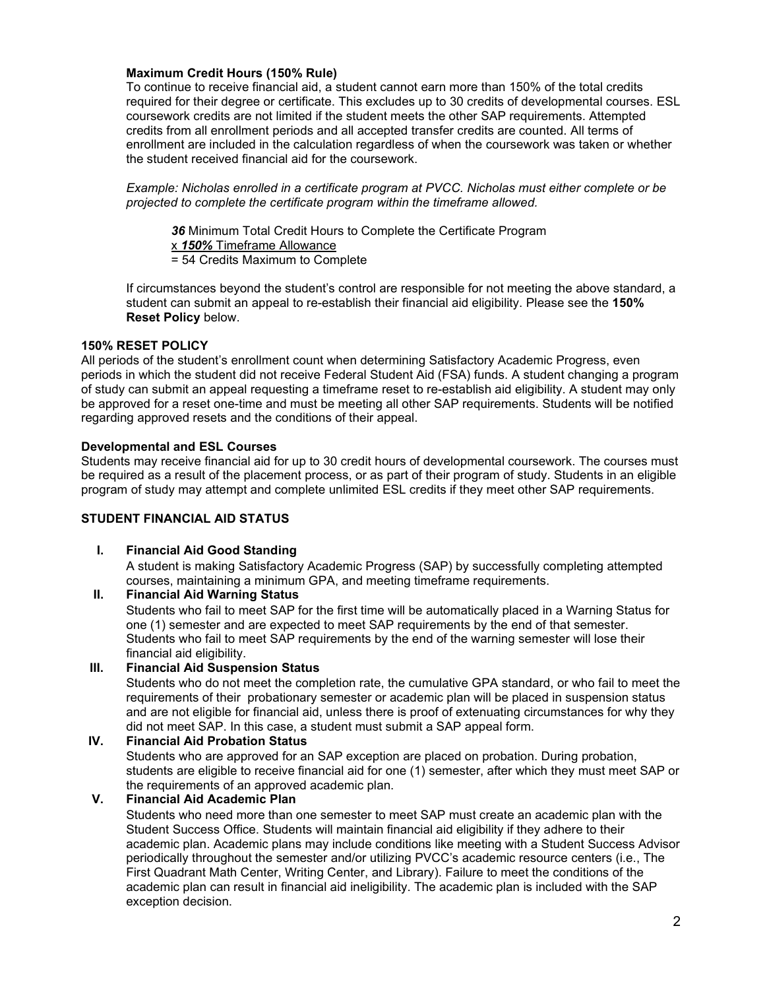#### **Maximum Credit Hours (150% Rule)**

To continue to receive financial aid, a student cannot earn more than 150% of the total credits required for their degree or certificate. This excludes up to 30 credits of developmental courses. ESL coursework credits are not limited if the student meets the other SAP requirements. Attempted credits from all enrollment periods and all accepted transfer credits are counted. All terms of enrollment are included in the calculation regardless of when the coursework was taken or whether the student received financial aid for the coursework.

*Example: Nicholas enrolled in a certificate program at PVCC. Nicholas must either complete or be projected to complete the certificate program within the timeframe allowed.*

*36* Minimum Total Credit Hours to Complete the Certificate Program x *150%* Timeframe Allowance = 54 Credits Maximum to Complete

If circumstances beyond the student's control are responsible for not meeting the above standard, a student can submit an appeal to re-establish their financial aid eligibility. Please see the **150% Reset Policy** below.

#### **150% RESET POLICY**

All periods of the student's enrollment count when determining Satisfactory Academic Progress, even periods in which the student did not receive Federal Student Aid (FSA) funds. A student changing a program of study can submit an appeal requesting a timeframe reset to re-establish aid eligibility. A student may only be approved for a reset one-time and must be meeting all other SAP requirements. Students will be notified regarding approved resets and the conditions of their appeal.

#### **Developmental and ESL Courses**

Students may receive financial aid for up to 30 credit hours of developmental coursework. The courses must be required as a result of the placement process, or as part of their program of study. Students in an eligible program of study may attempt and complete unlimited ESL credits if they meet other SAP requirements.

#### **STUDENT FINANCIAL AID STATUS**

#### **I. Financial Aid Good Standing**

A student is making Satisfactory Academic Progress (SAP) by successfully completing attempted courses, maintaining a minimum GPA, and meeting timeframe requirements.

#### **II. Financial Aid Warning Status**

Students who fail to meet SAP for the first time will be automatically placed in a Warning Status for one (1) semester and are expected to meet SAP requirements by the end of that semester. Students who fail to meet SAP requirements by the end of the warning semester will lose their financial aid eligibility.

#### **III. Financial Aid Suspension Status**

Students who do not meet the completion rate, the cumulative GPA standard, or who fail to meet the requirements of their probationary semester or academic plan will be placed in suspension status and are not eligible for financial aid, unless there is proof of extenuating circumstances for why they did not meet SAP. In this case, a student must submit a SAP appeal form.

#### **IV. Financial Aid Probation Status**

Students who are approved for an SAP exception are placed on probation. During probation, students are eligible to receive financial aid for one (1) semester, after which they must meet SAP or the requirements of an approved academic plan.

### **V. Financial Aid Academic Plan**

Students who need more than one semester to meet SAP must create an academic plan with the Student Success Office. Students will maintain financial aid eligibility if they adhere to their academic plan. Academic plans may include conditions like meeting with a Student Success Advisor periodically throughout the semester and/or utilizing PVCC's academic resource centers (i.e., The First Quadrant Math Center, Writing Center, and Library). Failure to meet the conditions of the academic plan can result in financial aid ineligibility. The academic plan is included with the SAP exception decision.